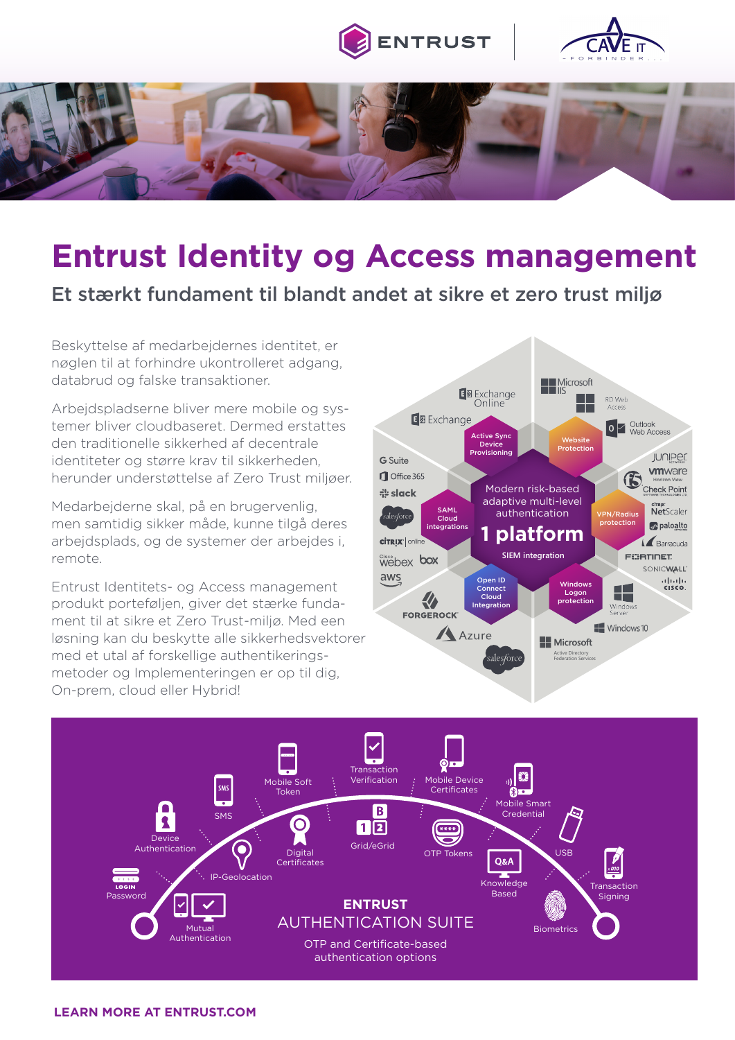





# **Entrust Identity og Access management**

### Et stærkt fundament til blandt andet at sikre et zero trust miljø

Beskyttelse af medarbejdernes identitet, er nøglen til at forhindre ukontrolleret adgang, databrud og falske transaktioner.

Arbejdspladserne bliver mere mobile og systemer bliver cloudbaseret. Dermed erstattes den traditionelle sikkerhed af decentrale identiteter og større krav til sikkerheden, herunder understøttelse af Zero Trust miljøer.

Medarbejderne skal, på en brugervenlig, men samtidig sikker måde, kunne tilgå deres arbejdsplads, og de systemer der arbejdes i, remote.

Entrust Identitets- og Access management produkt porteføljen, giver det stærke fundament til at sikre et Zero Trust-miljø. Med een løsning kan du beskytte alle sikkerhedsvektorer med et utal af forskellige authentikeringsmetoder og Implementeringen er op til dig, On-prem, cloud eller Hybrid!